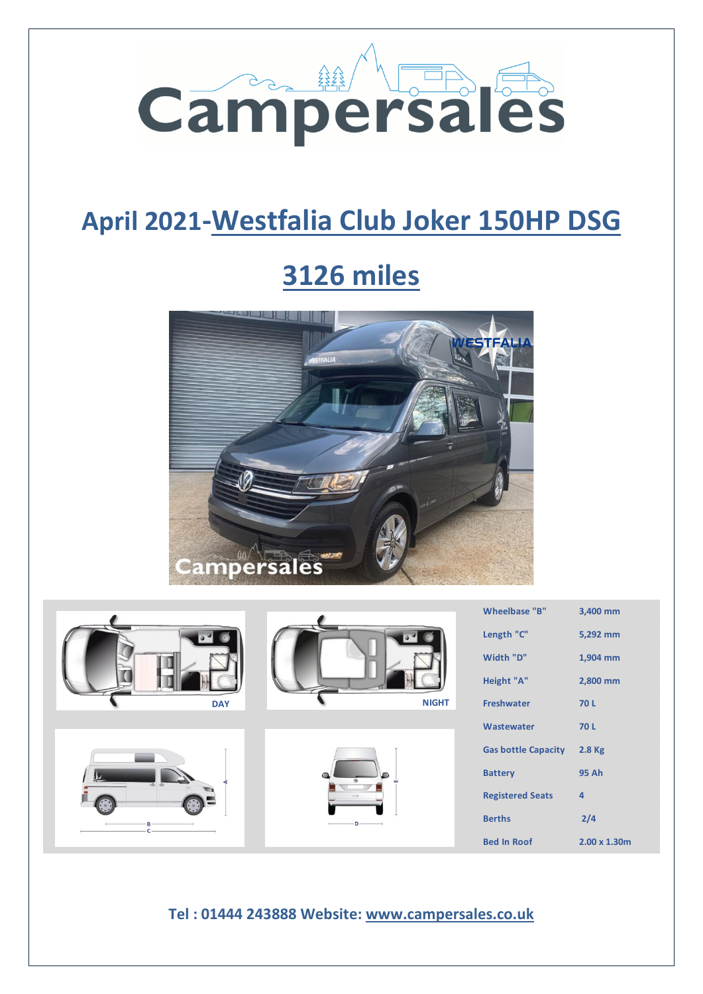

## **April 2021-Westfalia Club Joker 150HP DSG**

# **3126 miles**











|            |                                                  | Wheelbase "B"<br>Length "C"<br>Width "D"<br>Height "A" | 3,400 mm<br>5,292 mm<br>1,904 mm<br>2,800 mm |
|------------|--------------------------------------------------|--------------------------------------------------------|----------------------------------------------|
| <b>DAY</b> | <b>NIGHT</b>                                     | <b>Freshwater</b>                                      | 70L                                          |
|            |                                                  | Wastewater                                             | 70L                                          |
|            |                                                  | <b>Gas bottle Capacity</b>                             | 2.8 Kg                                       |
|            |                                                  | <b>Battery</b>                                         | <b>95 Ah</b>                                 |
|            |                                                  | <b>Registered Seats</b>                                | $\overline{a}$                               |
|            |                                                  | <b>Berths</b>                                          | 2/4                                          |
|            |                                                  | <b>Bed In Roof</b>                                     | $2.00 \times 1.30$ m                         |
|            | Tel: 01444 243888 Website: www.campersales.co.uk |                                                        |                                              |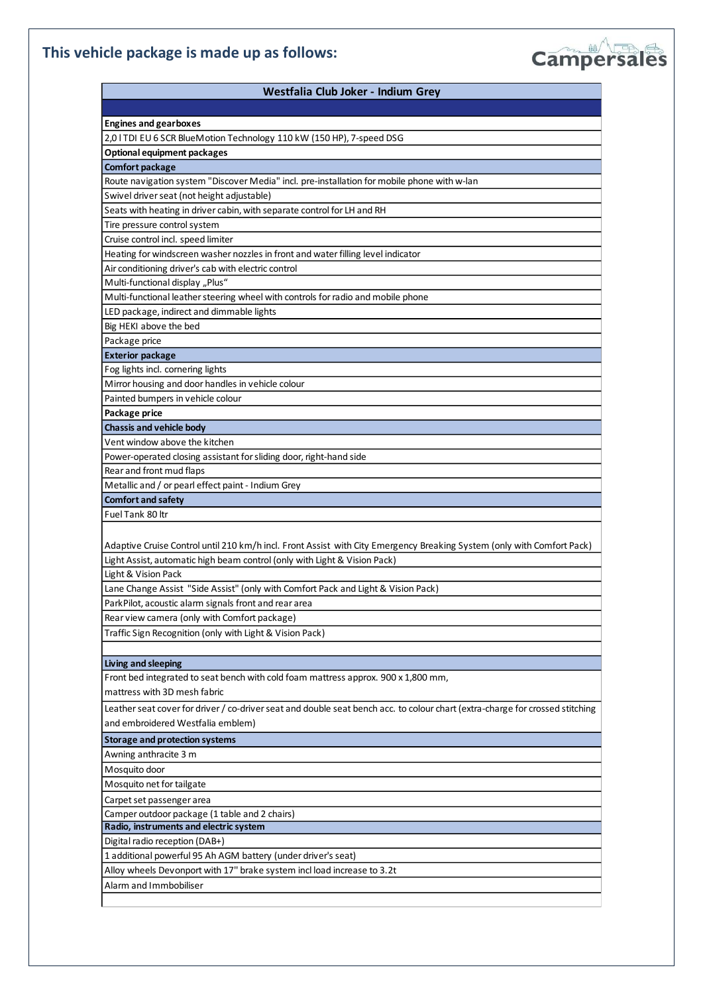## **This vehicle package is made up as follows:**



| <b>Engines and gearboxes</b>                                                                                                  |
|-------------------------------------------------------------------------------------------------------------------------------|
| 2,0 I TDI EU 6 SCR BlueMotion Technology 110 kW (150 HP), 7-speed DSG                                                         |
| Optional equipment packages                                                                                                   |
| <b>Comfort package</b>                                                                                                        |
| Route navigation system "Discover Media" incl. pre-installation for mobile phone with w-lan                                   |
| Swivel driver seat (not height adjustable)                                                                                    |
| Seats with heating in driver cabin, with separate control for LH and RH                                                       |
| Tire pressure control system                                                                                                  |
| Cruise control incl. speed limiter                                                                                            |
| Heating for windscreen washer nozzles in front and water filling level indicator                                              |
| Air conditioning driver's cab with electric control                                                                           |
| Multi-functional display "Plus"                                                                                               |
| Multi-functional leather steering wheel with controls for radio and mobile phone                                              |
| LED package, indirect and dimmable lights                                                                                     |
| Big HEKI above the bed                                                                                                        |
| Package price                                                                                                                 |
| <b>Exterior package</b>                                                                                                       |
| Fog lights incl. cornering lights                                                                                             |
| Mirror housing and door handles in vehicle colour                                                                             |
| Painted bumpers in vehicle colour                                                                                             |
| Package price                                                                                                                 |
| <b>Chassis and vehicle body</b>                                                                                               |
| Vent window above the kitchen                                                                                                 |
| Power-operated closing assistant for sliding door, right-hand side                                                            |
| Rear and front mud flaps                                                                                                      |
| Metallic and / or pearl effect paint - Indium Grey                                                                            |
| <b>Comfort and safety</b>                                                                                                     |
| Fuel Tank 80 ltr                                                                                                              |
|                                                                                                                               |
| Adaptive Cruise Control until 210 km/h incl. Front Assist with City Emergency Breaking System (only with Comfort Pack)        |
|                                                                                                                               |
| Light Assist, automatic high beam control (only with Light & Vision Pack)                                                     |
| Light & Vision Pack                                                                                                           |
| Lane Change Assist "Side Assist" (only with Comfort Pack and Light & Vision Pack)                                             |
| ParkPilot, acoustic alarm signals front and rear area                                                                         |
| Rear view camera (only with Comfort package)                                                                                  |
| Traffic Sign Recognition (only with Light & Vision Pack)                                                                      |
|                                                                                                                               |
| Living and sleeping                                                                                                           |
| Front bed integrated to seat bench with cold foam mattress approx. 900 x 1,800 mm,                                            |
| mattress with 3D mesh fabric                                                                                                  |
| Leather seat cover for driver / co-driver seat and double seat bench acc. to colour chart (extra-charge for crossed stitching |
| and embroidered Westfalia emblem)                                                                                             |
| <b>Storage and protection systems</b>                                                                                         |
| Awning anthracite 3 m                                                                                                         |
| Mosquito door                                                                                                                 |
| Mosquito net for tailgate                                                                                                     |
| Carpet set passenger area                                                                                                     |
| Camper outdoor package (1 table and 2 chairs)                                                                                 |
| Radio, instruments and electric system                                                                                        |
| Digital radio reception (DAB+)                                                                                                |
| 1 additional powerful 95 Ah AGM battery (under driver's seat)                                                                 |
| Alloy wheels Devonport with 17" brake system incl load increase to 3.2t                                                       |
| Alarm and Immbobiliser                                                                                                        |